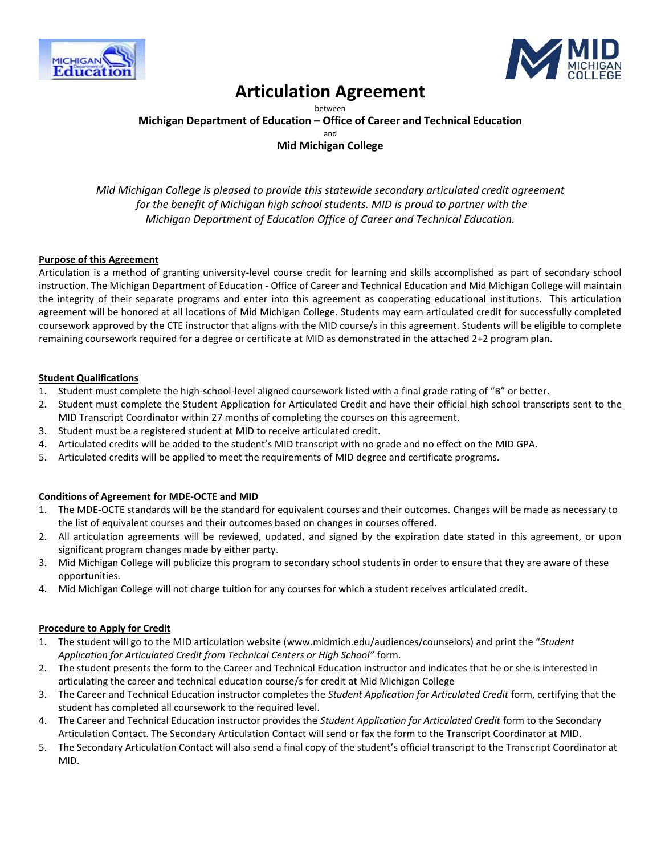



# **Articulation Agreement**

between **Michigan Department of Education – Office of Career and Technical Education** and **Mid Michigan College**

*Mid Michigan College is pleased to provide this statewide secondary articulated credit agreement for the benefit of Michigan high school students. MID is proud to partner with the Michigan Department of Education Office of Career and Technical Education.*

#### **Purpose of this Agreement**

Articulation is a method of granting university-level course credit for learning and skills accomplished as part of secondary school instruction. The Michigan Department of Education - Office of Career and Technical Education and Mid Michigan College will maintain the integrity of their separate programs and enter into this agreement as cooperating educational institutions. This articulation agreement will be honored at all locations of Mid Michigan College. Students may earn articulated credit for successfully completed coursework approved by the CTE instructor that aligns with the MID course/s in this agreement. Students will be eligible to complete remaining coursework required for a degree or certificate at MID as demonstrated in the attached 2+2 program plan.

#### **Student Qualifications**

- 1. Student must complete the high-school-level aligned coursework listed with a final grade rating of "B" or better.
- 2. Student must complete the Student Application for Articulated Credit and have their official high school transcripts sent to the MID Transcript Coordinator within 27 months of completing the courses on this agreement.
- 3. Student must be a registered student at MID to receive articulated credit.
- 4. Articulated credits will be added to the student's MID transcript with no grade and no effect on the MID GPA.
- 5. Articulated credits will be applied to meet the requirements of MID degree and certificate programs.

#### **Conditions of Agreement for MDE-OCTE and MID**

- 1. The MDE-OCTE standards will be the standard for equivalent courses and their outcomes. Changes will be made as necessary to the list of equivalent courses and their outcomes based on changes in courses offered.
- 2. All articulation agreements will be reviewed, updated, and signed by the expiration date stated in this agreement, or upon significant program changes made by either party.
- 3. Mid Michigan College will publicize this program to secondary school students in order to ensure that they are aware of these opportunities.
- 4. Mid Michigan College will not charge tuition for any courses for which a student receives articulated credit.

#### **Procedure to Apply for Credit**

- 1. The student will go to the MID articulation website (www.midmich.edu/audiences/counselors) and print the "*Student Application for Articulated Credit from Technical Centers or High School"* form.
- 2. The student presents the form to the Career and Technical Education instructor and indicates that he or she is interested in articulating the career and technical education course/s for credit at Mid Michigan College
- 3. The Career and Technical Education instructor completes the *Student Application for Articulated Credit* form, certifying that the student has completed all coursework to the required level.
- 4. The Career and Technical Education instructor provides the *Student Application for Articulated Credit* form to the Secondary Articulation Contact. The Secondary Articulation Contact will send or fax the form to the Transcript Coordinator at MID.
- 5. The Secondary Articulation Contact will also send a final copy of the student's official transcript to the Transcript Coordinator at MID.